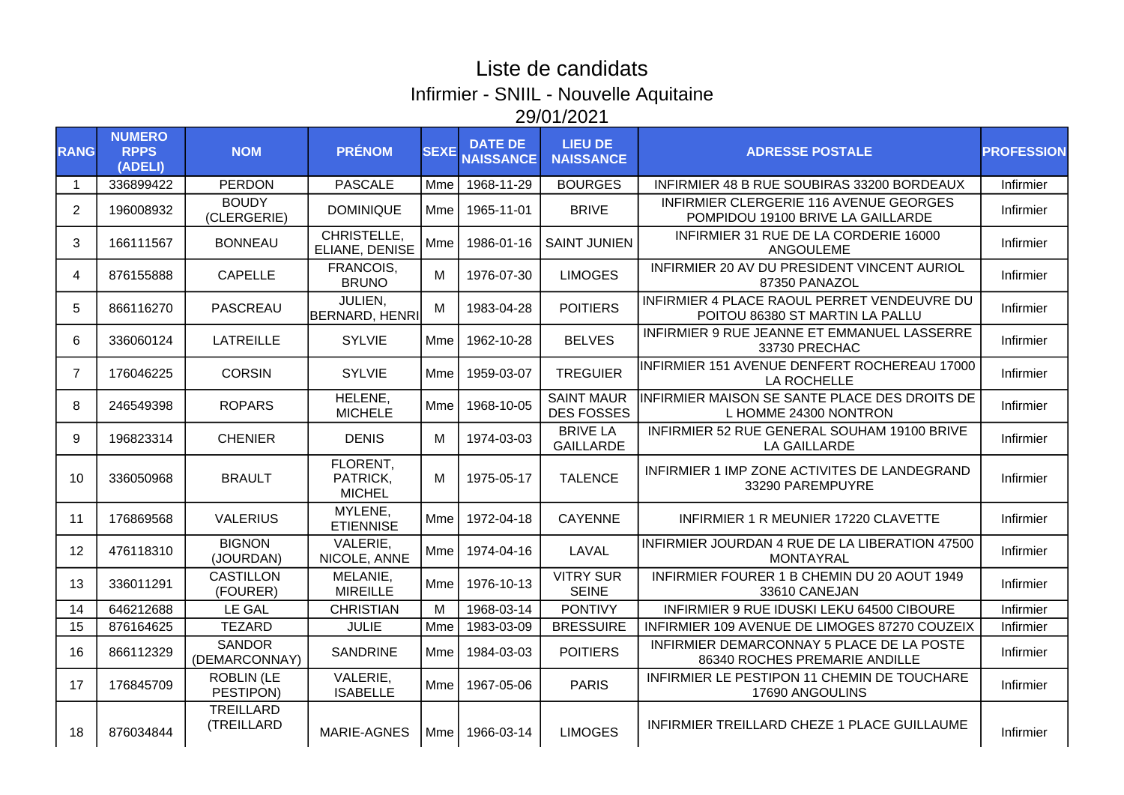## Liste de candidats Infirmier - SNIIL - Nouvelle Aquitaine 29/01/2021

| <b>RANG</b>    | <b>NUMERO</b><br><b>RPPS</b><br>(ADELI) | <b>NOM</b>                     | <b>PRÉNOM</b>                         | <b>SEXE</b> | <b>DATE DE</b><br><b>NAISSANCE</b> | <b>LIEU DE</b><br><b>NAISSANCE</b>     | <b>ADRESSE POSTALE</b>                                                         | <b>PROFESSION</b> |
|----------------|-----------------------------------------|--------------------------------|---------------------------------------|-------------|------------------------------------|----------------------------------------|--------------------------------------------------------------------------------|-------------------|
| -1             | 336899422                               | <b>PERDON</b>                  | <b>PASCALE</b>                        | Mme         | 1968-11-29                         | <b>BOURGES</b>                         | INFIRMIER 48 B RUE SOUBIRAS 33200 BORDEAUX                                     | Infirmier         |
| $\overline{2}$ | 196008932                               | <b>BOUDY</b><br>(CLERGERIE)    | <b>DOMINIQUE</b>                      | Mme         | 1965-11-01                         | <b>BRIVE</b>                           | INFIRMIER CLERGERIE 116 AVENUE GEORGES<br>POMPIDOU 19100 BRIVE LA GAILLARDE    | Infirmier         |
| 3              | 166111567                               | <b>BONNEAU</b>                 | CHRISTELLE,<br>ELIANE, DENISE         | Mme         | 1986-01-16                         | <b>SAINT JUNIEN</b>                    | INFIRMIER 31 RUE DE LA CORDERIE 16000<br>ANGOULEME                             | Infirmier         |
| 4              | 876155888                               | <b>CAPELLE</b>                 | FRANCOIS,<br><b>BRUNO</b>             | M           | 1976-07-30                         | <b>LIMOGES</b>                         | INFIRMIER 20 AV DU PRESIDENT VINCENT AURIOL<br>87350 PANAZOL                   | Infirmier         |
| 5              | 866116270                               | <b>PASCREAU</b>                | JULIEN.<br><b>BERNARD, HENRI</b>      | M           | 1983-04-28                         | <b>POITIERS</b>                        | INFIRMIER 4 PLACE RAOUL PERRET VENDEUVRE DU<br>POITOU 86380 ST MARTIN LA PALLU | Infirmier         |
| 6              | 336060124                               | <b>LATREILLE</b>               | <b>SYLVIE</b>                         | Mme         | 1962-10-28                         | <b>BELVES</b>                          | INFIRMIER 9 RUE JEANNE ET EMMANUEL LASSERRE<br>33730 PRECHAC                   | Infirmier         |
| 7              | 176046225                               | <b>CORSIN</b>                  | <b>SYLVIE</b>                         | Mme         | 1959-03-07                         | <b>TREGUIER</b>                        | INFIRMIER 151 AVENUE DENFERT ROCHEREAU 17000<br>LA ROCHELLE                    | Infirmier         |
| 8              | 246549398                               | <b>ROPARS</b>                  | HELENE,<br><b>MICHELE</b>             | Mme         | 1968-10-05                         | <b>SAINT MAUR</b><br><b>DES FOSSES</b> | INFIRMIER MAISON SE SANTE PLACE DES DROITS DE<br>L HOMME 24300 NONTRON         | Infirmier         |
| 9              | 196823314                               | <b>CHENIER</b>                 | <b>DENIS</b>                          | м           | 1974-03-03                         | <b>BRIVE LA</b><br><b>GAILLARDE</b>    | INFIRMIER 52 RUE GENERAL SOUHAM 19100 BRIVE<br><b>LA GAILLARDE</b>             | Infirmier         |
| 10             | 336050968                               | <b>BRAULT</b>                  | FLORENT,<br>PATRICK,<br><b>MICHEL</b> | м           | 1975-05-17                         | <b>TALENCE</b>                         | INFIRMIER 1 IMP ZONE ACTIVITES DE LANDEGRAND<br>33290 PAREMPUYRE               | Infirmier         |
| 11             | 176869568                               | <b>VALERIUS</b>                | MYLENE,<br><b>ETIENNISE</b>           | Mme         | 1972-04-18                         | <b>CAYENNE</b>                         | INFIRMIER 1 R MEUNIER 17220 CLAVETTE                                           | Infirmier         |
| 12             | 476118310                               | <b>BIGNON</b><br>(JOURDAN)     | <b>VALERIE.</b><br>NICOLE, ANNE       | Mme         | 1974-04-16                         | LAVAL                                  | INFIRMIER JOURDAN 4 RUE DE LA LIBERATION 47500<br><b>MONTAYRAL</b>             | Infirmier         |
| 13             | 336011291                               | <b>CASTILLON</b><br>(FOURER)   | MELANIE,<br><b>MIREILLE</b>           | Mme         | 1976-10-13                         | <b>VITRY SUR</b><br><b>SEINE</b>       | INFIRMIER FOURER 1 B CHEMIN DU 20 AOUT 1949<br>33610 CANEJAN                   | Infirmier         |
| 14             | 646212688                               | LE GAL                         | <b>CHRISTIAN</b>                      | M           | 1968-03-14                         | <b>PONTIVY</b>                         | INFIRMIER 9 RUE IDUSKI LEKU 64500 CIBOURE                                      | Infirmier         |
| 15             | 876164625                               | <b>TEZARD</b>                  | <b>JULIE</b>                          | Mme         | 1983-03-09                         | <b>BRESSUIRE</b>                       | INFIRMIER 109 AVENUE DE LIMOGES 87270 COUZEIX                                  | Infirmier         |
| 16             | 866112329                               | <b>SANDOR</b><br>(DEMARCONNAY) | <b>SANDRINE</b>                       | Mme         | 1984-03-03                         | <b>POITIERS</b>                        | INFIRMIER DEMARCONNAY 5 PLACE DE LA POSTE<br>86340 ROCHES PREMARIE ANDILLE     | Infirmier         |
| 17             | 176845709                               | <b>ROBLIN (LE</b><br>PESTIPON) | VALERIE,<br><b>ISABELLE</b>           | Mme         | 1967-05-06                         | <b>PARIS</b>                           | INFIRMIER LE PESTIPON 11 CHEMIN DE TOUCHARE<br>17690 ANGOULINS                 | Infirmier         |
| 18             | 876034844                               | TREILLARD<br>(TREILLARD        | MARIE-AGNES                           | <b>Mme</b>  | 1966-03-14                         | <b>LIMOGES</b>                         | INFIRMIER TREILLARD CHEZE 1 PLACE GUILLAUME                                    | Infirmier         |